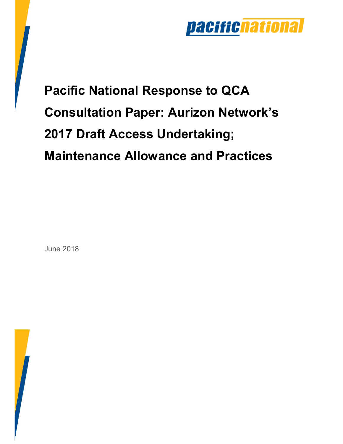

# Pacific National Response to QCA Consultation Paper: Aurizon Network's 2017 Draft Access Undertaking; Maintenance Allowance and Practices

June 2018

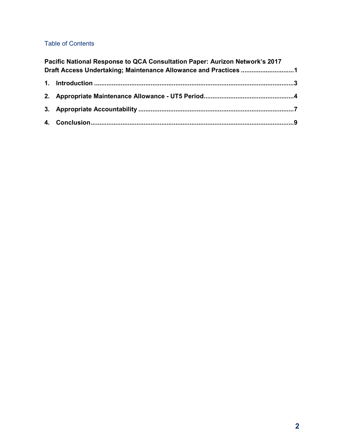#### Table of Contents

| Pacific National Response to QCA Consultation Paper: Aurizon Network's 2017 |  |
|-----------------------------------------------------------------------------|--|
| Draft Access Undertaking; Maintenance Allowance and Practices 1             |  |
|                                                                             |  |
|                                                                             |  |
|                                                                             |  |
|                                                                             |  |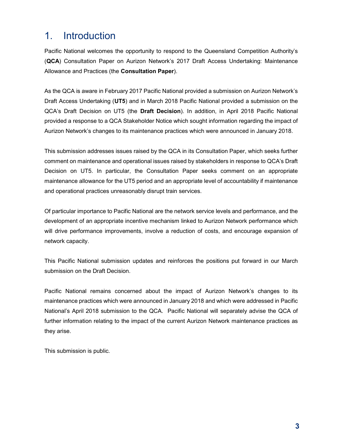### 1. Introduction

Pacific National welcomes the opportunity to respond to the Queensland Competition Authority's (QCA) Consultation Paper on Aurizon Network's 2017 Draft Access Undertaking: Maintenance Allowance and Practices (the Consultation Paper).

As the QCA is aware in February 2017 Pacific National provided a submission on Aurizon Network's Draft Access Undertaking (UT5) and in March 2018 Pacific National provided a submission on the QCA's Draft Decision on UT5 (the Draft Decision). In addition, in April 2018 Pacific National provided a response to a QCA Stakeholder Notice which sought information regarding the impact of Aurizon Network's changes to its maintenance practices which were announced in January 2018.

This submission addresses issues raised by the QCA in its Consultation Paper, which seeks further comment on maintenance and operational issues raised by stakeholders in response to QCA's Draft Decision on UT5. In particular, the Consultation Paper seeks comment on an appropriate maintenance allowance for the UT5 period and an appropriate level of accountability if maintenance and operational practices unreasonably disrupt train services.

Of particular importance to Pacific National are the network service levels and performance, and the development of an appropriate incentive mechanism linked to Aurizon Network performance which will drive performance improvements, involve a reduction of costs, and encourage expansion of network capacity.

This Pacific National submission updates and reinforces the positions put forward in our March submission on the Draft Decision.

Pacific National remains concerned about the impact of Aurizon Network's changes to its maintenance practices which were announced in January 2018 and which were addressed in Pacific National's April 2018 submission to the QCA. Pacific National will separately advise the QCA of further information relating to the impact of the current Aurizon Network maintenance practices as they arise.

This submission is public.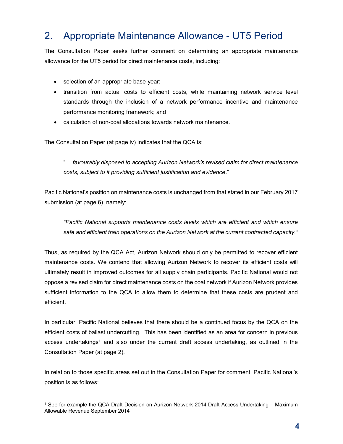# 2. Appropriate Maintenance Allowance - UT5 Period

The Consultation Paper seeks further comment on determining an appropriate maintenance allowance for the UT5 period for direct maintenance costs, including:

- selection of an appropriate base-year;
- transition from actual costs to efficient costs, while maintaining network service level standards through the inclusion of a network performance incentive and maintenance performance monitoring framework; and
- calculation of non-coal allocations towards network maintenance.

The Consultation Paper (at page iv) indicates that the QCA is:

"… favourably disposed to accepting Aurizon Network's revised claim for direct maintenance costs, subject to it providing sufficient justification and evidence."

Pacific National's position on maintenance costs is unchanged from that stated in our February 2017 submission (at page 6), namely:

"Pacific National supports maintenance costs levels which are efficient and which ensure safe and efficient train operations on the Aurizon Network at the current contracted capacity."

Thus, as required by the QCA Act, Aurizon Network should only be permitted to recover efficient maintenance costs. We contend that allowing Aurizon Network to recover its efficient costs will ultimately result in improved outcomes for all supply chain participants. Pacific National would not oppose a revised claim for direct maintenance costs on the coal network if Aurizon Network provides sufficient information to the QCA to allow them to determine that these costs are prudent and efficient.

In particular, Pacific National believes that there should be a continued focus by the QCA on the efficient costs of ballast undercutting. This has been identified as an area for concern in previous access undertakings<sup>1</sup> and also under the current draft access undertaking, as outlined in the Consultation Paper (at page 2).

In relation to those specific areas set out in the Consultation Paper for comment, Pacific National's position is as follows:

<sup>-</sup>1 See for example the QCA Draft Decision on Aurizon Network 2014 Draft Access Undertaking – Maximum Allowable Revenue September 2014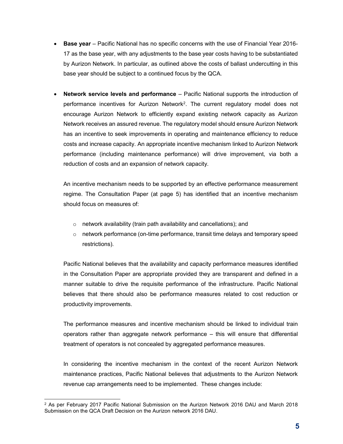- Base year Pacific National has no specific concerns with the use of Financial Year 2016- 17 as the base year, with any adjustments to the base year costs having to be substantiated by Aurizon Network. In particular, as outlined above the costs of ballast undercutting in this base year should be subject to a continued focus by the QCA.
- Network service levels and performance Pacific National supports the introduction of performance incentives for Aurizon Network<sup>2</sup> . The current regulatory model does not encourage Aurizon Network to efficiently expand existing network capacity as Aurizon Network receives an assured revenue. The regulatory model should ensure Aurizon Network has an incentive to seek improvements in operating and maintenance efficiency to reduce costs and increase capacity. An appropriate incentive mechanism linked to Aurizon Network performance (including maintenance performance) will drive improvement, via both a reduction of costs and an expansion of network capacity.

An incentive mechanism needs to be supported by an effective performance measurement regime. The Consultation Paper (at page 5) has identified that an incentive mechanism should focus on measures of:

- o network availability (train path availability and cancellations); and
- $\circ$  network performance (on-time performance, transit time delays and temporary speed restrictions).

Pacific National believes that the availability and capacity performance measures identified in the Consultation Paper are appropriate provided they are transparent and defined in a manner suitable to drive the requisite performance of the infrastructure. Pacific National believes that there should also be performance measures related to cost reduction or productivity improvements.

The performance measures and incentive mechanism should be linked to individual train operators rather than aggregate network performance – this will ensure that differential treatment of operators is not concealed by aggregated performance measures.

In considering the incentive mechanism in the context of the recent Aurizon Network maintenance practices, Pacific National believes that adjustments to the Aurizon Network revenue cap arrangements need to be implemented. These changes include:

<sup>-</sup>2 As per February 2017 Pacific National Submission on the Aurizon Network 2016 DAU and March 2018 Submission on the QCA Draft Decision on the Aurizon network 2016 DAU.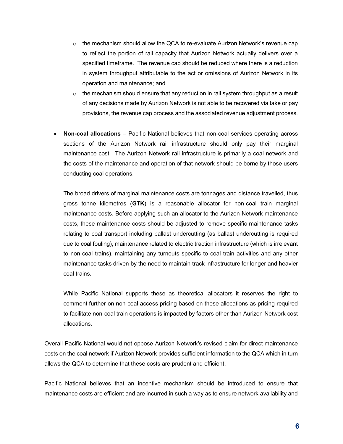- $\circ$  the mechanism should allow the QCA to re-evaluate Aurizon Network's revenue cap to reflect the portion of rail capacity that Aurizon Network actually delivers over a specified timeframe. The revenue cap should be reduced where there is a reduction in system throughput attributable to the act or omissions of Aurizon Network in its operation and maintenance; and
- $\circ$  the mechanism should ensure that any reduction in rail system throughput as a result of any decisions made by Aurizon Network is not able to be recovered via take or pay provisions, the revenue cap process and the associated revenue adjustment process.
- Non-coal allocations Pacific National believes that non-coal services operating across sections of the Aurizon Network rail infrastructure should only pay their marginal maintenance cost. The Aurizon Network rail infrastructure is primarily a coal network and the costs of the maintenance and operation of that network should be borne by those users conducting coal operations.

The broad drivers of marginal maintenance costs are tonnages and distance travelled, thus gross tonne kilometres (GTK) is a reasonable allocator for non-coal train marginal maintenance costs. Before applying such an allocator to the Aurizon Network maintenance costs, these maintenance costs should be adjusted to remove specific maintenance tasks relating to coal transport including ballast undercutting (as ballast undercutting is required due to coal fouling), maintenance related to electric traction infrastructure (which is irrelevant to non-coal trains), maintaining any turnouts specific to coal train activities and any other maintenance tasks driven by the need to maintain track infrastructure for longer and heavier coal trains.

While Pacific National supports these as theoretical allocators it reserves the right to comment further on non-coal access pricing based on these allocations as pricing required to facilitate non-coal train operations is impacted by factors other than Aurizon Network cost allocations.

Overall Pacific National would not oppose Aurizon Network's revised claim for direct maintenance costs on the coal network if Aurizon Network provides sufficient information to the QCA which in turn allows the QCA to determine that these costs are prudent and efficient.

Pacific National believes that an incentive mechanism should be introduced to ensure that maintenance costs are efficient and are incurred in such a way as to ensure network availability and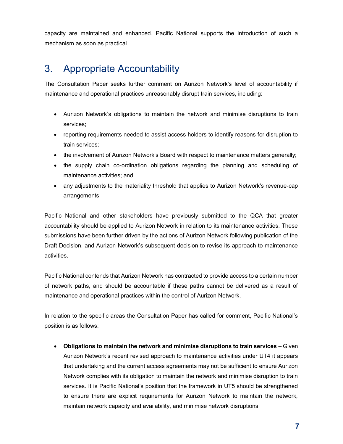capacity are maintained and enhanced. Pacific National supports the introduction of such a mechanism as soon as practical.

## 3. Appropriate Accountability

The Consultation Paper seeks further comment on Aurizon Network's level of accountability if maintenance and operational practices unreasonably disrupt train services, including:

- Aurizon Network's obligations to maintain the network and minimise disruptions to train services;
- reporting requirements needed to assist access holders to identify reasons for disruption to train services;
- the involvement of Aurizon Network's Board with respect to maintenance matters generally;
- the supply chain co-ordination obligations regarding the planning and scheduling of maintenance activities; and
- any adjustments to the materiality threshold that applies to Aurizon Network's revenue-cap arrangements.

Pacific National and other stakeholders have previously submitted to the QCA that greater accountability should be applied to Aurizon Network in relation to its maintenance activities. These submissions have been further driven by the actions of Aurizon Network following publication of the Draft Decision, and Aurizon Network's subsequent decision to revise its approach to maintenance activities.

Pacific National contends that Aurizon Network has contracted to provide access to a certain number of network paths, and should be accountable if these paths cannot be delivered as a result of maintenance and operational practices within the control of Aurizon Network.

In relation to the specific areas the Consultation Paper has called for comment, Pacific National's position is as follows:

 Obligations to maintain the network and minimise disruptions to train services – Given Aurizon Network's recent revised approach to maintenance activities under UT4 it appears that undertaking and the current access agreements may not be sufficient to ensure Aurizon Network complies with its obligation to maintain the network and minimise disruption to train services. It is Pacific National's position that the framework in UT5 should be strengthened to ensure there are explicit requirements for Aurizon Network to maintain the network, maintain network capacity and availability, and minimise network disruptions.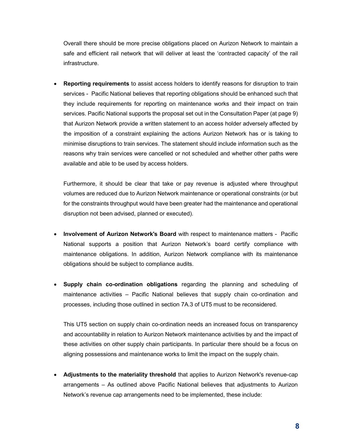Overall there should be more precise obligations placed on Aurizon Network to maintain a safe and efficient rail network that will deliver at least the 'contracted capacity' of the rail infrastructure.

 Reporting requirements to assist access holders to identify reasons for disruption to train services - Pacific National believes that reporting obligations should be enhanced such that they include requirements for reporting on maintenance works and their impact on train services. Pacific National supports the proposal set out in the Consultation Paper (at page 9) that Aurizon Network provide a written statement to an access holder adversely affected by the imposition of a constraint explaining the actions Aurizon Network has or is taking to minimise disruptions to train services. The statement should include information such as the reasons why train services were cancelled or not scheduled and whether other paths were available and able to be used by access holders.

Furthermore, it should be clear that take or pay revenue is adjusted where throughput volumes are reduced due to Aurizon Network maintenance or operational constraints (or but for the constraints throughput would have been greater had the maintenance and operational disruption not been advised, planned or executed).

- Involvement of Aurizon Network's Board with respect to maintenance matters Pacific National supports a position that Aurizon Network's board certify compliance with maintenance obligations. In addition, Aurizon Network compliance with its maintenance obligations should be subject to compliance audits.
- Supply chain co-ordination obligations regarding the planning and scheduling of maintenance activities – Pacific National believes that supply chain co-ordination and processes, including those outlined in section 7A.3 of UT5 must to be reconsidered.

This UT5 section on supply chain co-ordination needs an increased focus on transparency and accountability in relation to Aurizon Network maintenance activities by and the impact of these activities on other supply chain participants. In particular there should be a focus on aligning possessions and maintenance works to limit the impact on the supply chain.

 Adjustments to the materiality threshold that applies to Aurizon Network's revenue-cap arrangements – As outlined above Pacific National believes that adjustments to Aurizon Network's revenue cap arrangements need to be implemented, these include: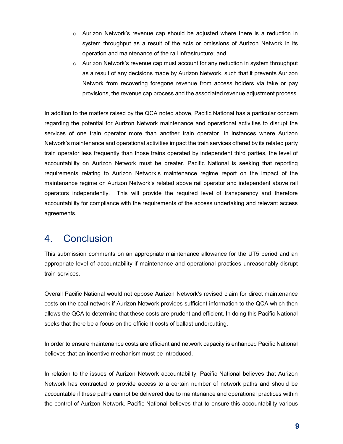- o Aurizon Network's revenue cap should be adjusted where there is a reduction in system throughput as a result of the acts or omissions of Aurizon Network in its operation and maintenance of the rail infrastructure; and
- Aurizon Network's revenue cap must account for any reduction in system throughput as a result of any decisions made by Aurizon Network, such that it prevents Aurizon Network from recovering foregone revenue from access holders via take or pay provisions, the revenue cap process and the associated revenue adjustment process.

In addition to the matters raised by the QCA noted above, Pacific National has a particular concern regarding the potential for Aurizon Network maintenance and operational activities to disrupt the services of one train operator more than another train operator. In instances where Aurizon Network's maintenance and operational activities impact the train services offered by its related party train operator less frequently than those trains operated by independent third parties, the level of accountability on Aurizon Network must be greater. Pacific National is seeking that reporting requirements relating to Aurizon Network's maintenance regime report on the impact of the maintenance regime on Aurizon Network's related above rail operator and independent above rail operators independently. This will provide the required level of transparency and therefore accountability for compliance with the requirements of the access undertaking and relevant access agreements.

#### 4. Conclusion

This submission comments on an appropriate maintenance allowance for the UT5 period and an appropriate level of accountability if maintenance and operational practices unreasonably disrupt train services.

Overall Pacific National would not oppose Aurizon Network's revised claim for direct maintenance costs on the coal network if Aurizon Network provides sufficient information to the QCA which then allows the QCA to determine that these costs are prudent and efficient. In doing this Pacific National seeks that there be a focus on the efficient costs of ballast undercutting.

In order to ensure maintenance costs are efficient and network capacity is enhanced Pacific National believes that an incentive mechanism must be introduced.

In relation to the issues of Aurizon Network accountability, Pacific National believes that Aurizon Network has contracted to provide access to a certain number of network paths and should be accountable if these paths cannot be delivered due to maintenance and operational practices within the control of Aurizon Network. Pacific National believes that to ensure this accountability various